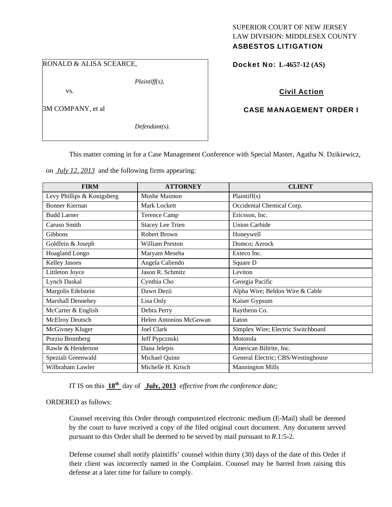#### RONALD & ALISA SCEARCE,

*Plaintiff(s),* 

vs.

3M COMPANY, et al

*Defendant(s).* 

#### SUPERIOR COURT OF NEW JERSEY LAW DIVISION: MIDDLESEX COUNTY ASBESTOS LITIGATION

Docket No: **L-4657-12 (AS)** 

## Civil Action

## CASE MANAGEMENT ORDER I

This matter coming in for a Case Management Conference with Special Master, Agatha N. Dzikiewicz,

on *July 12, 2013* and the following firms appearing:

| <b>FIRM</b>                | <b>ATTORNEY</b>         | <b>CLIENT</b>                      |
|----------------------------|-------------------------|------------------------------------|
| Levy Phillips & Konigsberg | Moshe Maimon            | Plaintiff(s)                       |
| <b>Bonner Kiernan</b>      | Mark Lockett            | Occidental Chemical Corp.          |
| <b>Budd Larner</b>         | <b>Terence Camp</b>     | Ericsson, Inc.                     |
| Caruso Smith               | <b>Stacey Lee Trien</b> | <b>Union Carbide</b>               |
| <b>Gibbons</b>             | <b>Robert Brown</b>     | Honeywell                          |
| Goldfein & Joseph          | <b>William Preston</b>  | Domco; Azrock                      |
| <b>Hoagland Longo</b>      | Maryam Meseha           | Exteco Inc.                        |
| <b>Kelley Jasons</b>       | Angela Caliendo         | Square D                           |
| Littleton Joyce            | Jason R. Schmitz        | Leviton                            |
| <b>Lynch Daskal</b>        | Cynthia Cho             | Georgia Pacific                    |
| Margolis Edelstein         | Dawn Dezii              | Alpha Wire; Beldon Wire & Cable    |
| Marshall Dennehey          | Lisa Only               | Kaiser Gypsum                      |
| McCarter & English         | Debra Perry             | Raytheon Co.                       |
| <b>McElroy Deutsch</b>     | Helen Antoniou McGowan  | Eaton                              |
| McGivney Kluger            | Joel Clark              | Simplex Wire; Electric Switchboard |
| Porzio Bromberg            | Jeff Pypcznski          | Motorola                           |
| Rawle & Henderson          | Dana Jelepis            | American Biltrite, Inc.            |
| Speziali Greenwald         | Michael Quinn           | General Electric; CBS/Westinghouse |
| Wilbraham Lawler           | Michelle H. Krisch      | <b>Mannington Mills</b>            |

IT IS on this **18th** day of **July, 2013** *effective from the conference date;*

ORDERED as follows:

Counsel receiving this Order through computerized electronic medium (E-Mail) shall be deemed by the court to have received a copy of the filed original court document. Any document served pursuant to this Order shall be deemed to be served by mail pursuant to *R*.1:5-2.

Defense counsel shall notify plaintiffs' counsel within thirty (30) days of the date of this Order if their client was incorrectly named in the Complaint. Counsel may be barred from raising this defense at a later time for failure to comply.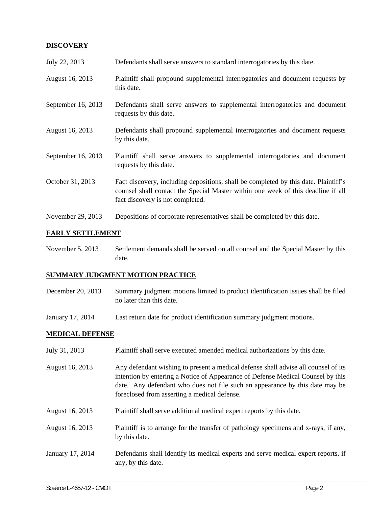# **DISCOVERY**

| July 22, 2013      | Defendants shall serve answers to standard interrogatories by this date.                                                                                                                                    |
|--------------------|-------------------------------------------------------------------------------------------------------------------------------------------------------------------------------------------------------------|
| August 16, 2013    | Plaintiff shall propound supplemental interrogatories and document requests by<br>this date.                                                                                                                |
| September 16, 2013 | Defendants shall serve answers to supplemental interrogatories and document<br>requests by this date.                                                                                                       |
| August 16, 2013    | Defendants shall propound supplemental interrogatories and document requests<br>by this date.                                                                                                               |
| September 16, 2013 | Plaintiff shall serve answers to supplemental interrogatories and document<br>requests by this date.                                                                                                        |
| October 31, 2013   | Fact discovery, including depositions, shall be completed by this date. Plaintiff's<br>counsel shall contact the Special Master within one week of this deadline if all<br>fact discovery is not completed. |
| November 29, 2013  | Depositions of corporate representatives shall be completed by this date.                                                                                                                                   |

## **EARLY SETTLEMENT**

November 5, 2013 Settlement demands shall be served on all counsel and the Special Master by this date.

## **SUMMARY JUDGMENT MOTION PRACTICE**

- December 20, 2013 Summary judgment motions limited to product identification issues shall be filed no later than this date.
- January 17, 2014 Last return date for product identification summary judgment motions.

## **MEDICAL DEFENSE**

- July 31, 2013 Plaintiff shall serve executed amended medical authorizations by this date.
- August 16, 2013 Any defendant wishing to present a medical defense shall advise all counsel of its intention by entering a Notice of Appearance of Defense Medical Counsel by this date. Any defendant who does not file such an appearance by this date may be foreclosed from asserting a medical defense.
- August 16, 2013 Plaintiff shall serve additional medical expert reports by this date.
- August 16, 2013 Plaintiff is to arrange for the transfer of pathology specimens and x-rays, if any, by this date.
- January 17, 2014 Defendants shall identify its medical experts and serve medical expert reports, if any, by this date.

\_\_\_\_\_\_\_\_\_\_\_\_\_\_\_\_\_\_\_\_\_\_\_\_\_\_\_\_\_\_\_\_\_\_\_\_\_\_\_\_\_\_\_\_\_\_\_\_\_\_\_\_\_\_\_\_\_\_\_\_\_\_\_\_\_\_\_\_\_\_\_\_\_\_\_\_\_\_\_\_\_\_\_\_\_\_\_\_\_\_\_\_\_\_\_\_\_\_\_\_\_\_\_\_\_\_\_\_\_\_